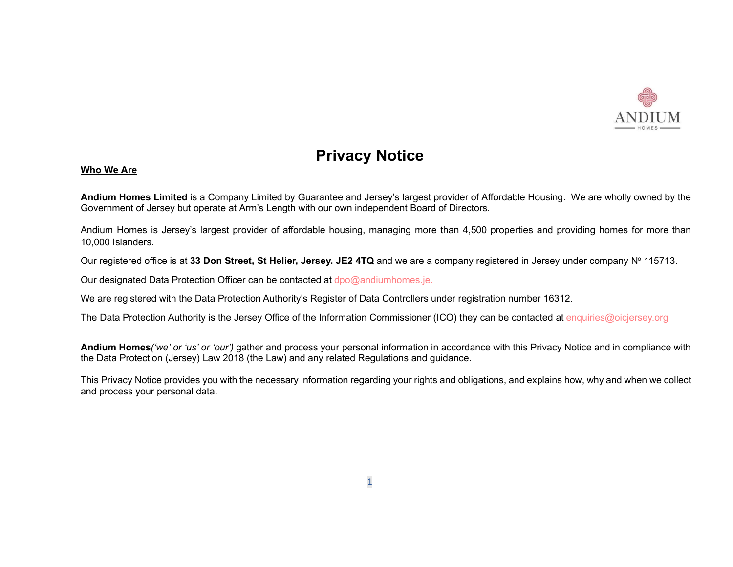

# Privacy Notice

# Who We Are

Andium Homes Limited is a Company Limited by Guarantee and Jersey's largest provider of Affordable Housing. We are wholly owned by the Government of Jersey but operate at Arm's Length with our own independent Board of Directors.

Andium Homes is Jersey's largest provider of affordable housing, managing more than 4,500 properties and providing homes for more than 10,000 Islanders.

Our registered office is at 33 Don Street, St Helier, Jersey. JE2 4TQ and we are a company registered in Jersey under company N° 115713.

Our designated Data Protection Officer can be contacted at dpo@andiumhomes.je.

We are registered with the Data Protection Authority's Register of Data Controllers under registration number 16312.

The Data Protection Authority is the Jersey Office of the Information Commissioner (ICO) they can be contacted at enquiries@oicjersey.org

Andium Homes('we' or 'us' or 'our') gather and process your personal information in accordance with this Privacy Notice and in compliance with the Data Protection (Jersey) Law 2018 (the Law) and any related Regulations and guidance.

This Privacy Notice provides you with the necessary information regarding your rights and obligations, and explains how, why and when we collect and process your personal data.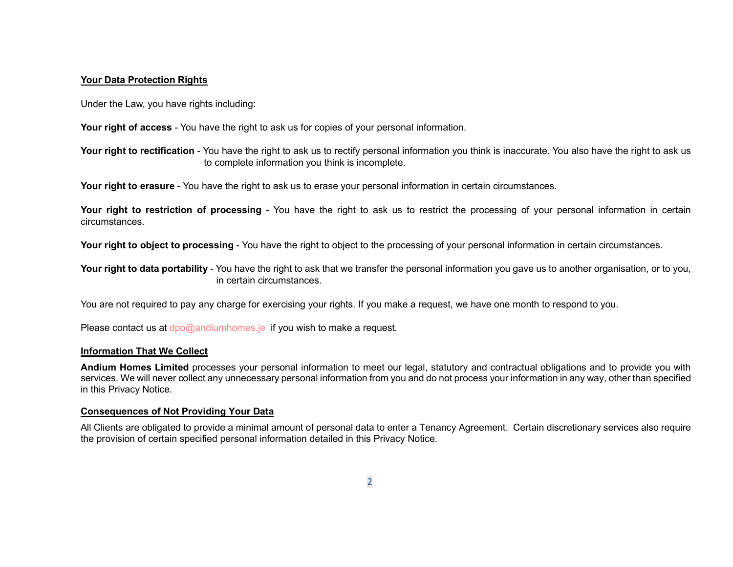# Your Data Protection Rights

Under the Law, you have rights including:

Your right of access - You have the right to ask us for copies of your personal information.

Your right to rectification - You have the right to ask us to rectify personal information you think is inaccurate. You also have the right to ask us to complete information you think is incomplete.

Your right to erasure - You have the right to ask us to erase your personal information in certain circumstances.

Your right to restriction of processing - You have the right to ask us to restrict the processing of your personal information in certain circumstances.

Your right to object to processing - You have the right to object to the processing of your personal information in certain circumstances.

Your right to data portability - You have the right to ask that we transfer the personal information you gave us to another organisation, or to you, in certain circumstances.

You are not required to pay any charge for exercising your rights. If you make a request, we have one month to respond to you.

Please contact us at dpo@andiumhomes.je if you wish to make a request.

# Information That We Collect

Andium Homes Limited processes your personal information to meet our legal, statutory and contractual obligations and to provide you with services. We will never collect any unnecessary personal information from you and do not process your information in any way, other than specified in this Privacy Notice.

# Consequences of Not Providing Your Data

All Clients are obligated to provide a minimal amount of personal data to enter a Tenancy Agreement. Certain discretionary services also require the provision of certain specified personal information detailed in this Privacy Notice.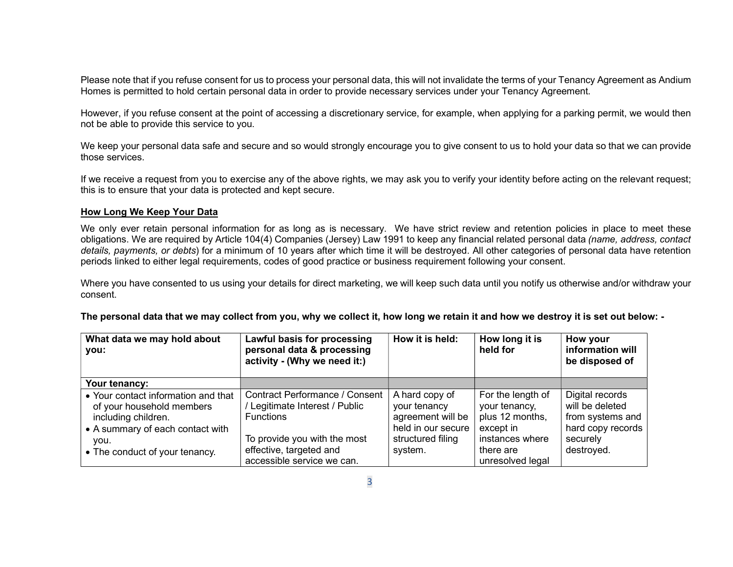Please note that if you refuse consent for us to process your personal data, this will not invalidate the terms of your Tenancy Agreement as Andium Homes is permitted to hold certain personal data in order to provide necessary services under your Tenancy Agreement.

However, if you refuse consent at the point of accessing a discretionary service, for example, when applying for a parking permit, we would then not be able to provide this service to you.

We keep your personal data safe and secure and so would strongly encourage you to give consent to us to hold your data so that we can provide those services.

If we receive a request from you to exercise any of the above rights, we may ask you to verify your identity before acting on the relevant request; this is to ensure that your data is protected and kept secure.

# How Long We Keep Your Data

We only ever retain personal information for as long as is necessary. We have strict review and retention policies in place to meet these obligations. We are required by Article 104(4) Companies (Jersey) Law 1991 to keep any financial related personal data (name, address, contact details, payments, or debts) for a minimum of 10 years after which time it will be destroyed. All other categories of personal data have retention periods linked to either legal requirements, codes of good practice or business requirement following your consent.

Where you have consented to us using your details for direct marketing, we will keep such data until you notify us otherwise and/or withdraw your consent.

| What data we may hold about<br>you:<br>Your tenancy:                                                                                                                  | Lawful basis for processing<br>personal data & processing<br>activity - (Why we need it:)                                                                                            | How it is held:                                                                                           | How long it is<br>held for                                                                                             | How your<br>information will<br>be disposed of                                                        |
|-----------------------------------------------------------------------------------------------------------------------------------------------------------------------|--------------------------------------------------------------------------------------------------------------------------------------------------------------------------------------|-----------------------------------------------------------------------------------------------------------|------------------------------------------------------------------------------------------------------------------------|-------------------------------------------------------------------------------------------------------|
| • Your contact information and that<br>of your household members<br>including children.<br>• A summary of each contact with<br>vou.<br>• The conduct of your tenancy. | <b>Contract Performance / Consent</b><br>/ Legitimate Interest / Public<br><b>Functions</b><br>To provide you with the most<br>effective, targeted and<br>accessible service we can. | A hard copy of<br>your tenancy<br>agreement will be<br>held in our secure<br>structured filing<br>system. | For the length of<br>your tenancy,<br>plus 12 months,<br>except in<br>instances where<br>there are<br>unresolved legal | Digital records<br>will be deleted<br>from systems and<br>hard copy records<br>securely<br>destroyed. |

The personal data that we may collect from you, why we collect it, how long we retain it and how we destroy it is set out below: -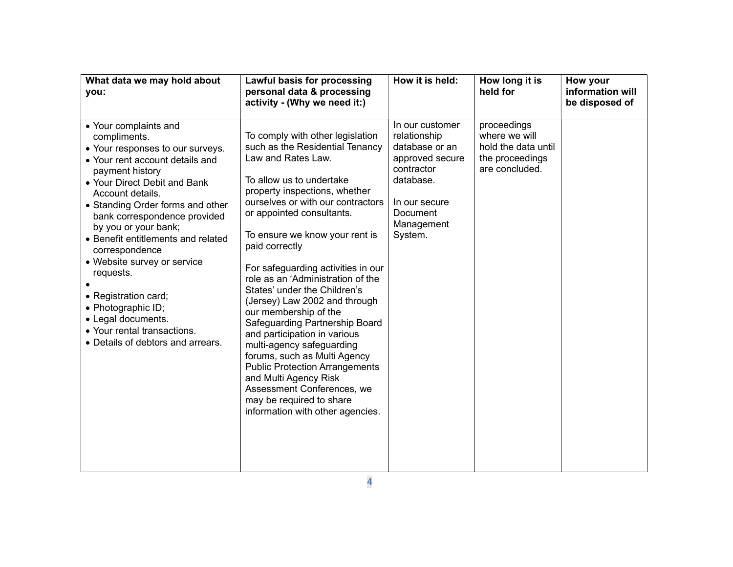| What data we may hold about<br>you:                                                                                                                                                                                                                                                                                                                                                                                                                                                                                         | Lawful basis for processing<br>personal data & processing<br>activity - (Why we need it:)                                                                                                                                                                                                                                                                                                                                                                                                                                                                                                                                                                                                                                                        | How it is held:                                                                                                                                       | How long it is<br>held for                                                               | How your<br>information will<br>be disposed of |
|-----------------------------------------------------------------------------------------------------------------------------------------------------------------------------------------------------------------------------------------------------------------------------------------------------------------------------------------------------------------------------------------------------------------------------------------------------------------------------------------------------------------------------|--------------------------------------------------------------------------------------------------------------------------------------------------------------------------------------------------------------------------------------------------------------------------------------------------------------------------------------------------------------------------------------------------------------------------------------------------------------------------------------------------------------------------------------------------------------------------------------------------------------------------------------------------------------------------------------------------------------------------------------------------|-------------------------------------------------------------------------------------------------------------------------------------------------------|------------------------------------------------------------------------------------------|------------------------------------------------|
| • Your complaints and<br>compliments.<br>• Your responses to our surveys.<br>• Your rent account details and<br>payment history<br>• Your Direct Debit and Bank<br>Account details.<br>• Standing Order forms and other<br>bank correspondence provided<br>by you or your bank;<br>• Benefit entitlements and related<br>correspondence<br>• Website survey or service<br>requests.<br>• Registration card;<br>• Photographic ID;<br>• Legal documents.<br>• Your rental transactions.<br>• Details of debtors and arrears. | To comply with other legislation<br>such as the Residential Tenancy<br>Law and Rates Law.<br>To allow us to undertake<br>property inspections, whether<br>ourselves or with our contractors<br>or appointed consultants.<br>To ensure we know your rent is<br>paid correctly<br>For safeguarding activities in our<br>role as an 'Administration of the<br>States' under the Children's<br>(Jersey) Law 2002 and through<br>our membership of the<br>Safeguarding Partnership Board<br>and participation in various<br>multi-agency safeguarding<br>forums, such as Multi Agency<br><b>Public Protection Arrangements</b><br>and Multi Agency Risk<br>Assessment Conferences, we<br>may be required to share<br>information with other agencies. | In our customer<br>relationship<br>database or an<br>approved secure<br>contractor<br>database.<br>In our secure<br>Document<br>Management<br>System. | proceedings<br>where we will<br>hold the data until<br>the proceedings<br>are concluded. |                                                |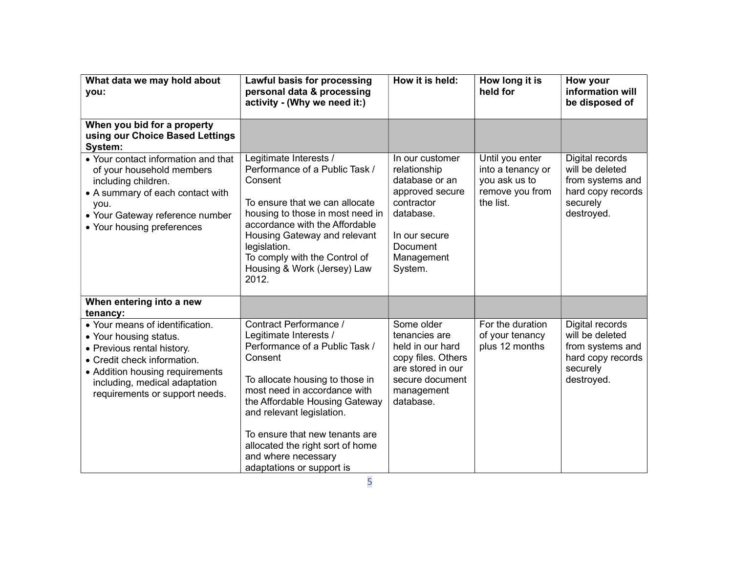| What data we may hold about<br>you:                                                                                                                                                                                          | Lawful basis for processing<br>personal data & processing<br>activity - (Why we need it:)                                                                                                                                                                                                                                                                 | How it is held:                                                                                                                                       | How long it is<br>held for                                                            | How your<br>information will<br>be disposed of                                                        |
|------------------------------------------------------------------------------------------------------------------------------------------------------------------------------------------------------------------------------|-----------------------------------------------------------------------------------------------------------------------------------------------------------------------------------------------------------------------------------------------------------------------------------------------------------------------------------------------------------|-------------------------------------------------------------------------------------------------------------------------------------------------------|---------------------------------------------------------------------------------------|-------------------------------------------------------------------------------------------------------|
| When you bid for a property<br>using our Choice Based Lettings<br>System:                                                                                                                                                    |                                                                                                                                                                                                                                                                                                                                                           |                                                                                                                                                       |                                                                                       |                                                                                                       |
| • Your contact information and that<br>of your household members<br>including children.<br>• A summary of each contact with<br>you.<br>• Your Gateway reference number<br>• Your housing preferences                         | Legitimate Interests /<br>Performance of a Public Task /<br>Consent<br>To ensure that we can allocate<br>housing to those in most need in<br>accordance with the Affordable<br>Housing Gateway and relevant<br>legislation.<br>To comply with the Control of<br>Housing & Work (Jersey) Law<br>2012.                                                      | In our customer<br>relationship<br>database or an<br>approved secure<br>contractor<br>database.<br>In our secure<br>Document<br>Management<br>System. | Until you enter<br>into a tenancy or<br>you ask us to<br>remove you from<br>the list. | Digital records<br>will be deleted<br>from systems and<br>hard copy records<br>securely<br>destroyed. |
| When entering into a new<br>tenancy:                                                                                                                                                                                         |                                                                                                                                                                                                                                                                                                                                                           |                                                                                                                                                       |                                                                                       |                                                                                                       |
| • Your means of identification.<br>• Your housing status.<br>• Previous rental history.<br>• Credit check information.<br>• Addition housing requirements<br>including, medical adaptation<br>requirements or support needs. | Contract Performance /<br>Legitimate Interests /<br>Performance of a Public Task /<br>Consent<br>To allocate housing to those in<br>most need in accordance with<br>the Affordable Housing Gateway<br>and relevant legislation.<br>To ensure that new tenants are<br>allocated the right sort of home<br>and where necessary<br>adaptations or support is | Some older<br>tenancies are<br>held in our hard<br>copy files. Others<br>are stored in our<br>secure document<br>management<br>database.              | For the duration<br>of your tenancy<br>plus 12 months                                 | Digital records<br>will be deleted<br>from systems and<br>hard copy records<br>securely<br>destroyed. |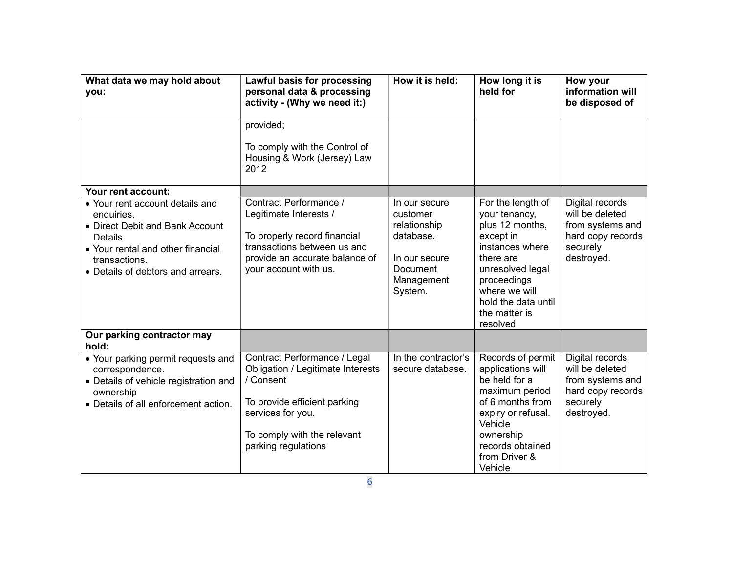| What data we may hold about<br>you:                                                                                                                                                     | Lawful basis for processing<br>personal data & processing<br>activity - (Why we need it:)                                                                                                 | How it is held:                                                                                              | How long it is<br>held for                                                                                                                                                                                  | How your<br>information will<br>be disposed of                                                        |
|-----------------------------------------------------------------------------------------------------------------------------------------------------------------------------------------|-------------------------------------------------------------------------------------------------------------------------------------------------------------------------------------------|--------------------------------------------------------------------------------------------------------------|-------------------------------------------------------------------------------------------------------------------------------------------------------------------------------------------------------------|-------------------------------------------------------------------------------------------------------|
|                                                                                                                                                                                         | provided;<br>To comply with the Control of<br>Housing & Work (Jersey) Law<br>2012                                                                                                         |                                                                                                              |                                                                                                                                                                                                             |                                                                                                       |
| Your rent account:                                                                                                                                                                      |                                                                                                                                                                                           |                                                                                                              |                                                                                                                                                                                                             |                                                                                                       |
| • Your rent account details and<br>enquiries.<br>• Direct Debit and Bank Account<br>Details.<br>• Your rental and other financial<br>transactions.<br>• Details of debtors and arrears. | Contract Performance /<br>Legitimate Interests /<br>To properly record financial<br>transactions between us and<br>provide an accurate balance of<br>your account with us.                | In our secure<br>customer<br>relationship<br>database.<br>In our secure<br>Document<br>Management<br>System. | For the length of<br>your tenancy,<br>plus 12 months,<br>except in<br>instances where<br>there are<br>unresolved legal<br>proceedings<br>where we will<br>hold the data until<br>the matter is<br>resolved. | Digital records<br>will be deleted<br>from systems and<br>hard copy records<br>securely<br>destroyed. |
| Our parking contractor may<br>hold:                                                                                                                                                     |                                                                                                                                                                                           |                                                                                                              |                                                                                                                                                                                                             |                                                                                                       |
| • Your parking permit requests and<br>correspondence.<br>• Details of vehicle registration and<br>ownership<br>• Details of all enforcement action.                                     | Contract Performance / Legal<br>Obligation / Legitimate Interests<br>/ Consent<br>To provide efficient parking<br>services for you.<br>To comply with the relevant<br>parking regulations | In the contractor's<br>secure database.                                                                      | Records of permit<br>applications will<br>be held for a<br>maximum period<br>of 6 months from<br>expiry or refusal.<br>Vehicle<br>ownership<br>records obtained<br>from Driver &<br>Vehicle                 | Digital records<br>will be deleted<br>from systems and<br>hard copy records<br>securely<br>destroyed. |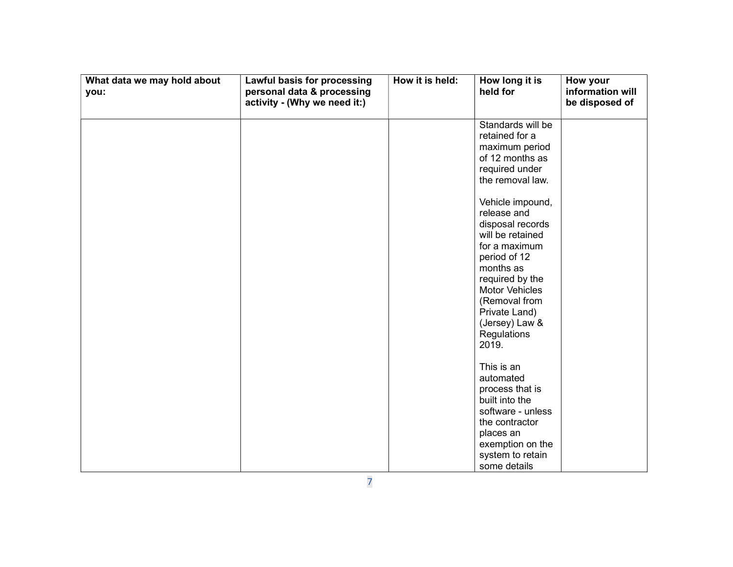| What data we may hold about<br>you: | Lawful basis for processing<br>personal data & processing<br>activity - (Why we need it:) | How it is held: | How long it is<br>held for                                                                                                                                                                                                                                                                                                                                      | How your<br>information will<br>be disposed of |
|-------------------------------------|-------------------------------------------------------------------------------------------|-----------------|-----------------------------------------------------------------------------------------------------------------------------------------------------------------------------------------------------------------------------------------------------------------------------------------------------------------------------------------------------------------|------------------------------------------------|
|                                     |                                                                                           |                 | Standards will be<br>retained for a<br>maximum period<br>of 12 months as<br>required under<br>the removal law.<br>Vehicle impound,<br>release and<br>disposal records<br>will be retained<br>for a maximum<br>period of 12<br>months as<br>required by the<br><b>Motor Vehicles</b><br>(Removal from<br>Private Land)<br>(Jersey) Law &<br>Regulations<br>2019. |                                                |
|                                     |                                                                                           |                 | This is an<br>automated<br>process that is<br>built into the<br>software - unless<br>the contractor<br>places an<br>exemption on the<br>system to retain<br>some details                                                                                                                                                                                        |                                                |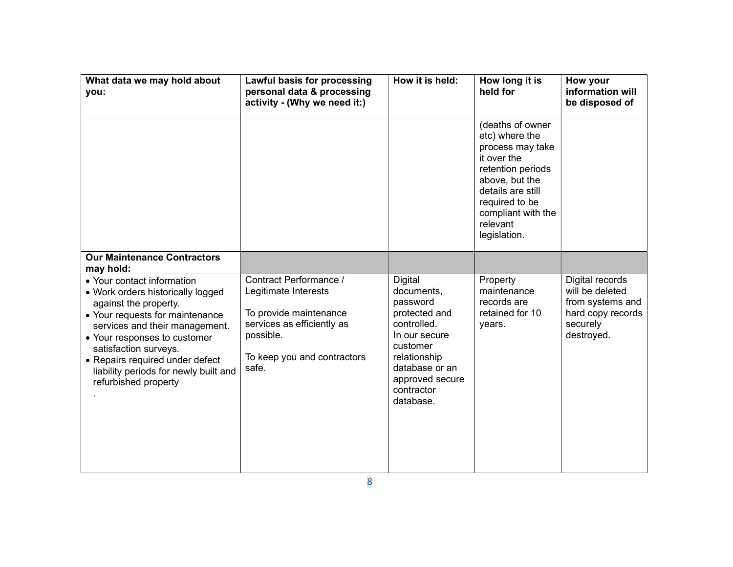| What data we may hold about<br>you:                                                                                                                                                                                                                                                                                        | Lawful basis for processing<br>personal data & processing<br>activity - (Why we need it:)                                                                   | How it is held:                                                                                                                                                                       | How long it is<br>held for                                                                                                                                                                            | How your<br>information will<br>be disposed of                                                        |
|----------------------------------------------------------------------------------------------------------------------------------------------------------------------------------------------------------------------------------------------------------------------------------------------------------------------------|-------------------------------------------------------------------------------------------------------------------------------------------------------------|---------------------------------------------------------------------------------------------------------------------------------------------------------------------------------------|-------------------------------------------------------------------------------------------------------------------------------------------------------------------------------------------------------|-------------------------------------------------------------------------------------------------------|
|                                                                                                                                                                                                                                                                                                                            |                                                                                                                                                             |                                                                                                                                                                                       | (deaths of owner<br>etc) where the<br>process may take<br>it over the<br>retention periods<br>above, but the<br>details are still<br>required to be<br>compliant with the<br>relevant<br>legislation. |                                                                                                       |
| <b>Our Maintenance Contractors</b><br>may hold:                                                                                                                                                                                                                                                                            |                                                                                                                                                             |                                                                                                                                                                                       |                                                                                                                                                                                                       |                                                                                                       |
| • Your contact information<br>• Work orders historically logged<br>against the property.<br>• Your requests for maintenance<br>services and their management.<br>• Your responses to customer<br>satisfaction surveys.<br>• Repairs required under defect<br>liability periods for newly built and<br>refurbished property | Contract Performance /<br>Legitimate Interests<br>To provide maintenance<br>services as efficiently as<br>possible.<br>To keep you and contractors<br>safe. | <b>Digital</b><br>documents,<br>password<br>protected and<br>controlled.<br>In our secure<br>customer<br>relationship<br>database or an<br>approved secure<br>contractor<br>database. | Property<br>maintenance<br>records are<br>retained for 10<br>years.                                                                                                                                   | Digital records<br>will be deleted<br>from systems and<br>hard copy records<br>securely<br>destroyed. |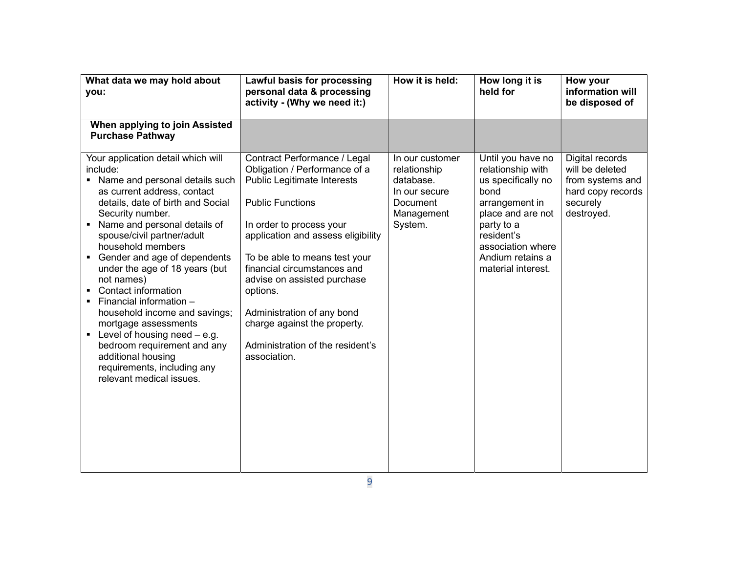| What data we may hold about<br>you:                                                                                                                                                                                                                                                                                                                                                                                                                                                                                                                                                                                                     | Lawful basis for processing<br>personal data & processing<br>activity - (Why we need it:)                                                                                                                                                                                                                                                                                                                              | How it is held:                                                                                    | How long it is<br>held for                                                                                                                                                                             | How your<br>information will<br>be disposed of                                                        |
|-----------------------------------------------------------------------------------------------------------------------------------------------------------------------------------------------------------------------------------------------------------------------------------------------------------------------------------------------------------------------------------------------------------------------------------------------------------------------------------------------------------------------------------------------------------------------------------------------------------------------------------------|------------------------------------------------------------------------------------------------------------------------------------------------------------------------------------------------------------------------------------------------------------------------------------------------------------------------------------------------------------------------------------------------------------------------|----------------------------------------------------------------------------------------------------|--------------------------------------------------------------------------------------------------------------------------------------------------------------------------------------------------------|-------------------------------------------------------------------------------------------------------|
| When applying to join Assisted<br><b>Purchase Pathway</b>                                                                                                                                                                                                                                                                                                                                                                                                                                                                                                                                                                               |                                                                                                                                                                                                                                                                                                                                                                                                                        |                                                                                                    |                                                                                                                                                                                                        |                                                                                                       |
| Your application detail which will<br>include:<br>• Name and personal details such<br>as current address, contact<br>details, date of birth and Social<br>Security number.<br>Name and personal details of<br>٠<br>spouse/civil partner/adult<br>household members<br>Gender and age of dependents<br>$\blacksquare$<br>under the age of 18 years (but<br>not names)<br>Contact information<br>Financial information -<br>п.<br>household income and savings;<br>mortgage assessments<br>Level of housing need $-$ e.g.<br>bedroom requirement and any<br>additional housing<br>requirements, including any<br>relevant medical issues. | Contract Performance / Legal<br>Obligation / Performance of a<br>Public Legitimate Interests<br><b>Public Functions</b><br>In order to process your<br>application and assess eligibility<br>To be able to means test your<br>financial circumstances and<br>advise on assisted purchase<br>options.<br>Administration of any bond<br>charge against the property.<br>Administration of the resident's<br>association. | In our customer<br>relationship<br>database.<br>In our secure<br>Document<br>Management<br>System. | Until you have no<br>relationship with<br>us specifically no<br>bond<br>arrangement in<br>place and are not<br>party to a<br>resident's<br>association where<br>Andium retains a<br>material interest. | Digital records<br>will be deleted<br>from systems and<br>hard copy records<br>securely<br>destroyed. |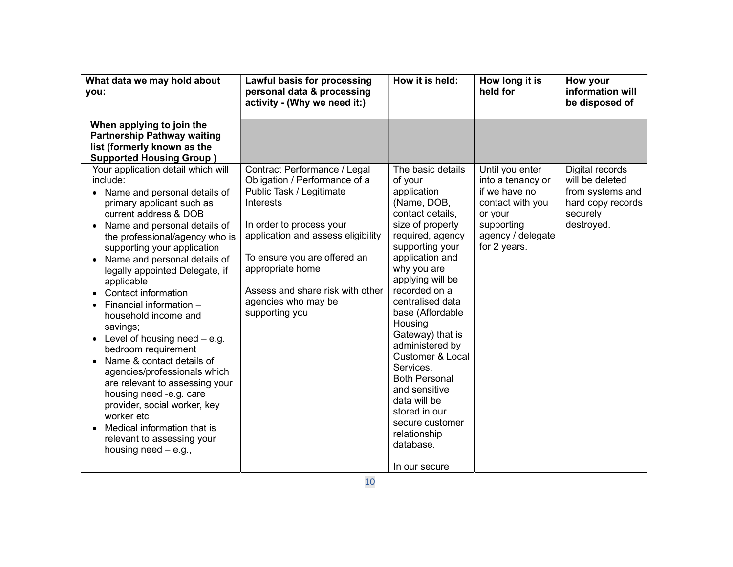| What data we may hold about<br>you:                                                                                                                                                                                                                                                                                                                                                                                                                                                                                                                                                                                                                                               | Lawful basis for processing<br>personal data & processing<br>activity - (Why we need it:)                                                                                                                                                       | How it is held:                                                                                                                                                                                                                                                                                                                                                                                                                                                   | How long it is<br>held for                                                                      | How your<br>information will<br>be disposed of                  |
|-----------------------------------------------------------------------------------------------------------------------------------------------------------------------------------------------------------------------------------------------------------------------------------------------------------------------------------------------------------------------------------------------------------------------------------------------------------------------------------------------------------------------------------------------------------------------------------------------------------------------------------------------------------------------------------|-------------------------------------------------------------------------------------------------------------------------------------------------------------------------------------------------------------------------------------------------|-------------------------------------------------------------------------------------------------------------------------------------------------------------------------------------------------------------------------------------------------------------------------------------------------------------------------------------------------------------------------------------------------------------------------------------------------------------------|-------------------------------------------------------------------------------------------------|-----------------------------------------------------------------|
| When applying to join the<br><b>Partnership Pathway waiting</b><br>list (formerly known as the<br><b>Supported Housing Group</b> )<br>Your application detail which will<br>include:                                                                                                                                                                                                                                                                                                                                                                                                                                                                                              | Contract Performance / Legal<br>Obligation / Performance of a                                                                                                                                                                                   | The basic details<br>of your                                                                                                                                                                                                                                                                                                                                                                                                                                      | Until you enter<br>into a tenancy or                                                            | Digital records<br>will be deleted                              |
| Name and personal details of<br>primary applicant such as<br>current address & DOB<br>Name and personal details of<br>the professional/agency who is<br>supporting your application<br>Name and personal details of<br>legally appointed Delegate, if<br>applicable<br>Contact information<br>Financial information -<br>household income and<br>savings;<br>Level of housing need $-$ e.g.<br>bedroom requirement<br>Name & contact details of<br>agencies/professionals which<br>are relevant to assessing your<br>housing need -e.g. care<br>provider, social worker, key<br>worker etc<br>Medical information that is<br>relevant to assessing your<br>housing need $-$ e.g., | Public Task / Legitimate<br><b>Interests</b><br>In order to process your<br>application and assess eligibility<br>To ensure you are offered an<br>appropriate home<br>Assess and share risk with other<br>agencies who may be<br>supporting you | application<br>(Name, DOB,<br>contact details,<br>size of property<br>required, agency<br>supporting your<br>application and<br>why you are<br>applying will be<br>recorded on a<br>centralised data<br>base (Affordable<br>Housing<br>Gateway) that is<br>administered by<br><b>Customer &amp; Local</b><br>Services.<br><b>Both Personal</b><br>and sensitive<br>data will be<br>stored in our<br>secure customer<br>relationship<br>database.<br>In our secure | if we have no<br>contact with you<br>or your<br>supporting<br>agency / delegate<br>for 2 years. | from systems and<br>hard copy records<br>securely<br>destroyed. |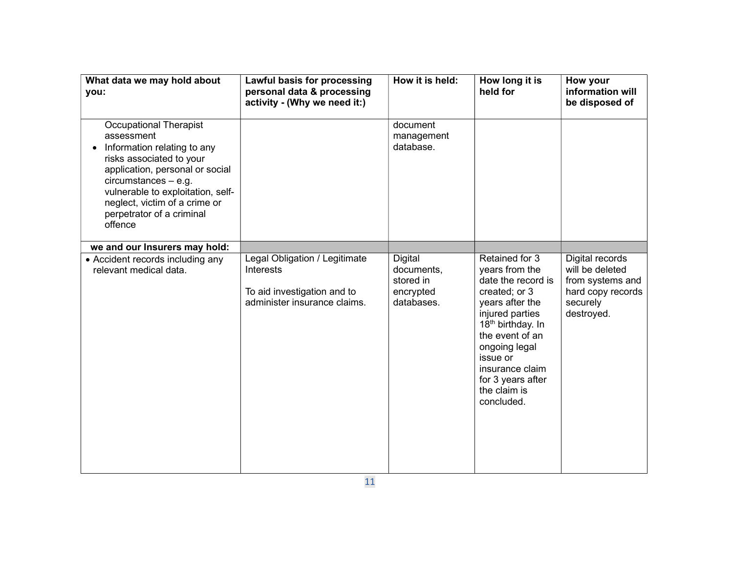| What data we may hold about<br>you:                                                                                                                                                                                                                                        | Lawful basis for processing<br>personal data & processing<br>activity - (Why we need it:)                        | How it is held:                                               | How long it is<br>held for                                                                                                                                                                                                                                           | How your<br>information will<br>be disposed of                                                        |
|----------------------------------------------------------------------------------------------------------------------------------------------------------------------------------------------------------------------------------------------------------------------------|------------------------------------------------------------------------------------------------------------------|---------------------------------------------------------------|----------------------------------------------------------------------------------------------------------------------------------------------------------------------------------------------------------------------------------------------------------------------|-------------------------------------------------------------------------------------------------------|
| Occupational Therapist<br>assessment<br>Information relating to any<br>risks associated to your<br>application, personal or social<br>$circumstances - e.g.$<br>vulnerable to exploitation, self-<br>neglect, victim of a crime or<br>perpetrator of a criminal<br>offence |                                                                                                                  | document<br>management<br>database.                           |                                                                                                                                                                                                                                                                      |                                                                                                       |
| we and our Insurers may hold:                                                                                                                                                                                                                                              |                                                                                                                  |                                                               |                                                                                                                                                                                                                                                                      |                                                                                                       |
| • Accident records including any<br>relevant medical data.                                                                                                                                                                                                                 | Legal Obligation / Legitimate<br><b>Interests</b><br>To aid investigation and to<br>administer insurance claims. | Digital<br>documents,<br>stored in<br>encrypted<br>databases. | Retained for 3<br>years from the<br>date the record is<br>created; or 3<br>years after the<br>injured parties<br>18 <sup>th</sup> birthday. In<br>the event of an<br>ongoing legal<br>issue or<br>insurance claim<br>for 3 years after<br>the claim is<br>concluded. | Digital records<br>will be deleted<br>from systems and<br>hard copy records<br>securely<br>destroyed. |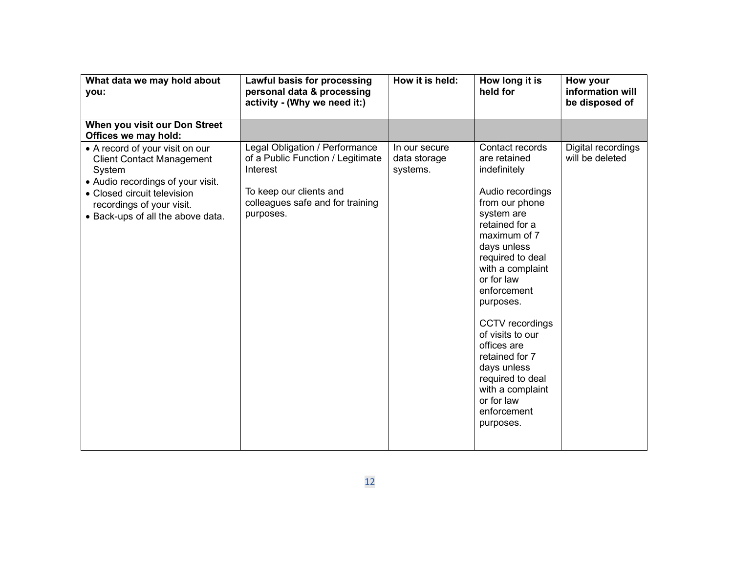| What data we may hold about<br>you:                                                                                                                                                                                 | Lawful basis for processing<br>personal data & processing<br>activity - (Why we need it:)                                                                   | How it is held:                           | How long it is<br>held for                                                                                                                                                                                                                                                                                                                                                                                      | How your<br>information will<br>be disposed of |
|---------------------------------------------------------------------------------------------------------------------------------------------------------------------------------------------------------------------|-------------------------------------------------------------------------------------------------------------------------------------------------------------|-------------------------------------------|-----------------------------------------------------------------------------------------------------------------------------------------------------------------------------------------------------------------------------------------------------------------------------------------------------------------------------------------------------------------------------------------------------------------|------------------------------------------------|
| When you visit our Don Street<br>Offices we may hold:                                                                                                                                                               |                                                                                                                                                             |                                           |                                                                                                                                                                                                                                                                                                                                                                                                                 |                                                |
| • A record of your visit on our<br><b>Client Contact Management</b><br>System<br>• Audio recordings of your visit.<br>• Closed circuit television<br>recordings of your visit.<br>• Back-ups of all the above data. | Legal Obligation / Performance<br>of a Public Function / Legitimate<br>Interest<br>To keep our clients and<br>colleagues safe and for training<br>purposes. | In our secure<br>data storage<br>systems. | Contact records<br>are retained<br>indefinitely<br>Audio recordings<br>from our phone<br>system are<br>retained for a<br>maximum of 7<br>days unless<br>required to deal<br>with a complaint<br>or for law<br>enforcement<br>purposes.<br>CCTV recordings<br>of visits to our<br>offices are<br>retained for 7<br>days unless<br>required to deal<br>with a complaint<br>or for law<br>enforcement<br>purposes. | Digital recordings<br>will be deleted          |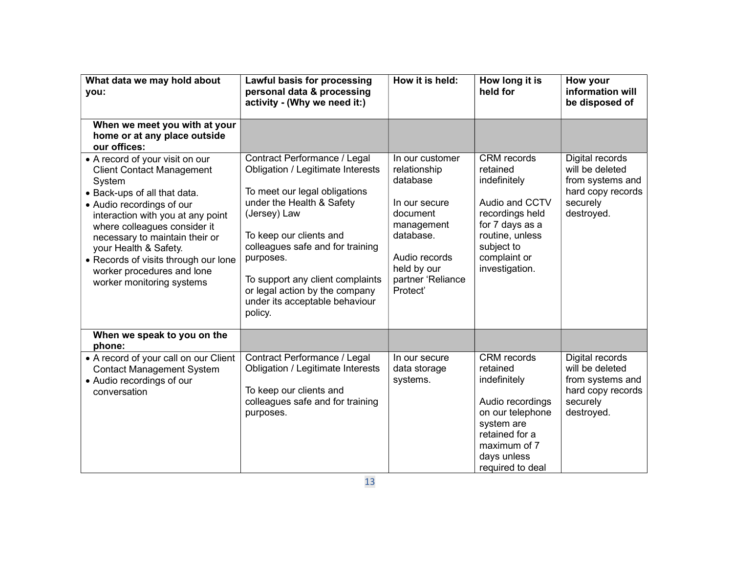| What data we may hold about<br>you:                                                                                                                                                                                                                                                                                                                                           | Lawful basis for processing<br>personal data & processing<br>activity - (Why we need it:)                                                                                                                                                                                                                                                      | How it is held:                                                                                                                                                      | How long it is<br>held for                                                                                                                                                | How your<br>information will<br>be disposed of                                                        |
|-------------------------------------------------------------------------------------------------------------------------------------------------------------------------------------------------------------------------------------------------------------------------------------------------------------------------------------------------------------------------------|------------------------------------------------------------------------------------------------------------------------------------------------------------------------------------------------------------------------------------------------------------------------------------------------------------------------------------------------|----------------------------------------------------------------------------------------------------------------------------------------------------------------------|---------------------------------------------------------------------------------------------------------------------------------------------------------------------------|-------------------------------------------------------------------------------------------------------|
| When we meet you with at your<br>home or at any place outside<br>our offices:                                                                                                                                                                                                                                                                                                 |                                                                                                                                                                                                                                                                                                                                                |                                                                                                                                                                      |                                                                                                                                                                           |                                                                                                       |
| • A record of your visit on our<br><b>Client Contact Management</b><br>System<br>• Back-ups of all that data.<br>• Audio recordings of our<br>interaction with you at any point<br>where colleagues consider it<br>necessary to maintain their or<br>your Health & Safety.<br>• Records of visits through our lone<br>worker procedures and lone<br>worker monitoring systems | Contract Performance / Legal<br>Obligation / Legitimate Interests<br>To meet our legal obligations<br>under the Health & Safety<br>(Jersey) Law<br>To keep our clients and<br>colleagues safe and for training<br>purposes.<br>To support any client complaints<br>or legal action by the company<br>under its acceptable behaviour<br>policy. | In our customer<br>relationship<br>database<br>In our secure<br>document<br>management<br>database.<br>Audio records<br>held by our<br>partner 'Reliance<br>Protect' | <b>CRM</b> records<br>retained<br>indefinitely<br>Audio and CCTV<br>recordings held<br>for 7 days as a<br>routine, unless<br>subject to<br>complaint or<br>investigation. | Digital records<br>will be deleted<br>from systems and<br>hard copy records<br>securely<br>destroyed. |
| When we speak to you on the<br>phone:                                                                                                                                                                                                                                                                                                                                         |                                                                                                                                                                                                                                                                                                                                                |                                                                                                                                                                      |                                                                                                                                                                           |                                                                                                       |
| • A record of your call on our Client<br><b>Contact Management System</b><br>• Audio recordings of our<br>conversation                                                                                                                                                                                                                                                        | Contract Performance / Legal<br>Obligation / Legitimate Interests<br>To keep our clients and<br>colleagues safe and for training<br>purposes.                                                                                                                                                                                                  | In our secure<br>data storage<br>systems.                                                                                                                            | <b>CRM</b> records<br>retained<br>indefinitely<br>Audio recordings<br>on our telephone<br>system are<br>retained for a<br>maximum of 7<br>days unless<br>required to deal | Digital records<br>will be deleted<br>from systems and<br>hard copy records<br>securely<br>destroyed. |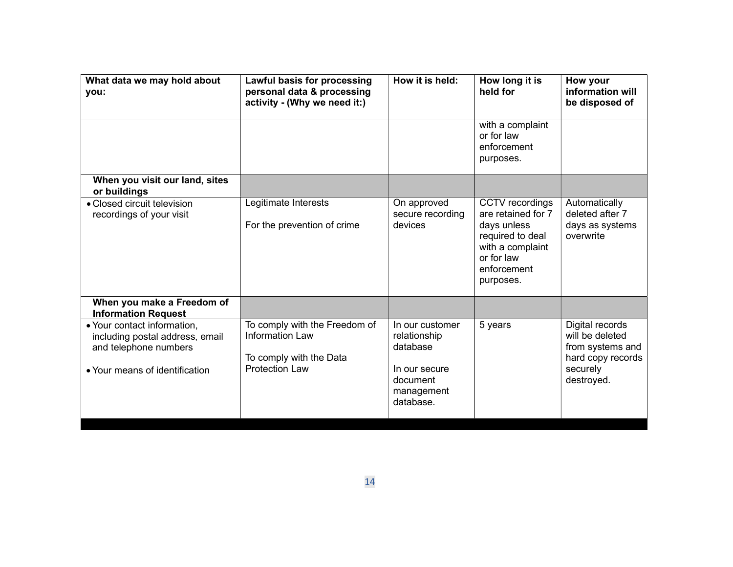| What data we may hold about<br>you:                                                                                       | Lawful basis for processing<br>personal data & processing<br>activity - (Why we need it:)                   | How it is held:                                                                                     | How long it is<br>held for                                                                                                             | How your<br>information will<br>be disposed of                                                        |
|---------------------------------------------------------------------------------------------------------------------------|-------------------------------------------------------------------------------------------------------------|-----------------------------------------------------------------------------------------------------|----------------------------------------------------------------------------------------------------------------------------------------|-------------------------------------------------------------------------------------------------------|
|                                                                                                                           |                                                                                                             |                                                                                                     | with a complaint<br>or for law<br>enforcement<br>purposes.                                                                             |                                                                                                       |
| When you visit our land, sites<br>or buildings                                                                            |                                                                                                             |                                                                                                     |                                                                                                                                        |                                                                                                       |
| • Closed circuit television<br>recordings of your visit                                                                   | Legitimate Interests<br>For the prevention of crime                                                         | On approved<br>secure recording<br>devices                                                          | CCTV recordings<br>are retained for 7<br>days unless<br>required to deal<br>with a complaint<br>or for law<br>enforcement<br>purposes. | Automatically<br>deleted after 7<br>days as systems<br>overwrite                                      |
| When you make a Freedom of<br><b>Information Request</b>                                                                  |                                                                                                             |                                                                                                     |                                                                                                                                        |                                                                                                       |
| • Your contact information,<br>including postal address, email<br>and telephone numbers<br>• Your means of identification | To comply with the Freedom of<br><b>Information Law</b><br>To comply with the Data<br><b>Protection Law</b> | In our customer<br>relationship<br>database<br>In our secure<br>document<br>management<br>database. | 5 years                                                                                                                                | Digital records<br>will be deleted<br>from systems and<br>hard copy records<br>securely<br>destroyed. |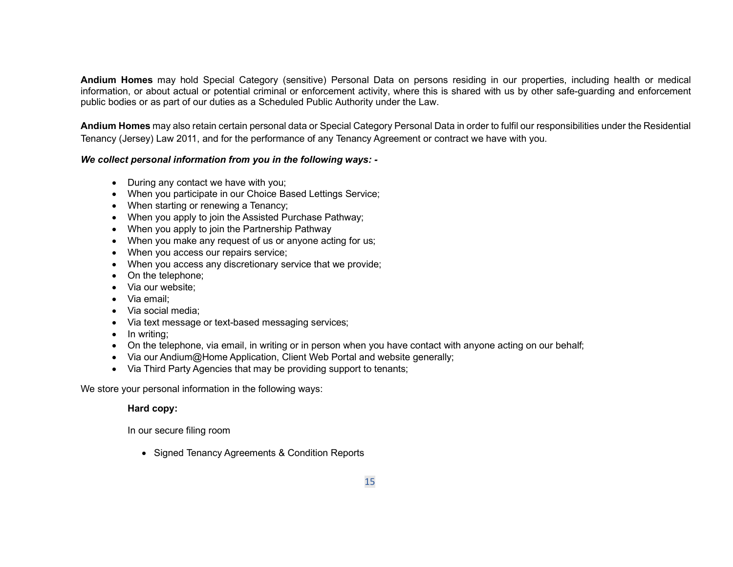Andium Homes may hold Special Category (sensitive) Personal Data on persons residing in our properties, including health or medical information, or about actual or potential criminal or enforcement activity, where this is shared with us by other safe-guarding and enforcement public bodies or as part of our duties as a Scheduled Public Authority under the Law.

Andium Homes may also retain certain personal data or Special Category Personal Data in order to fulfil our responsibilities under the Residential Tenancy (Jersey) Law 2011, and for the performance of any Tenancy Agreement or contract we have with you.

# We collect personal information from you in the following ways: -

- During any contact we have with you;
- When you participate in our Choice Based Lettings Service;
- When starting or renewing a Tenancy;
- When you apply to join the Assisted Purchase Pathway;
- When you apply to join the Partnership Pathway
- When you make any request of us or anyone acting for us;
- When you access our repairs service;
- When you access any discretionary service that we provide;
- On the telephone;
- Via our website;
- Via email:
- Via social media:
- Via text message or text-based messaging services;
- In writing:
- On the telephone, via email, in writing or in person when you have contact with anyone acting on our behalf;
- Via our Andium@Home Application, Client Web Portal and website generally;
- Via Third Party Agencies that may be providing support to tenants;

We store your personal information in the following ways:

# Hard copy:

In our secure filing room

• Signed Tenancy Agreements & Condition Reports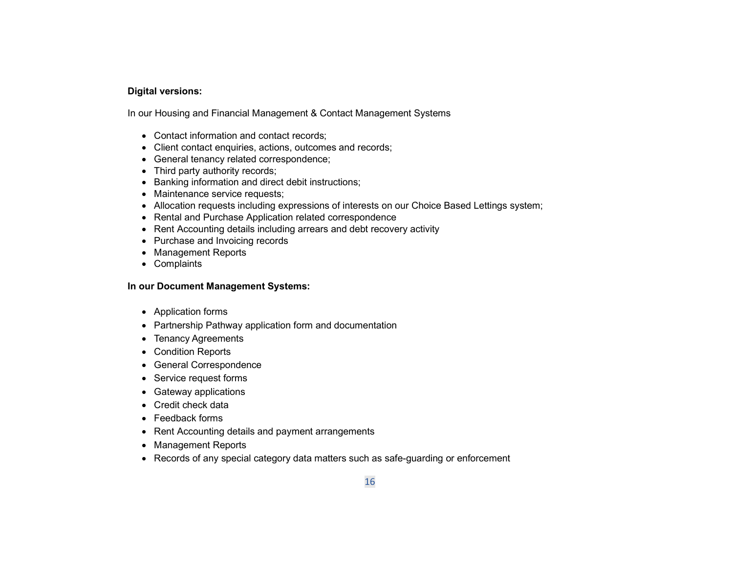# Digital versions:

In our Housing and Financial Management & Contact Management Systems

- Contact information and contact records;
- Client contact enquiries, actions, outcomes and records;
- General tenancy related correspondence;
- Third party authority records;
- Banking information and direct debit instructions;
- Maintenance service requests;
- Allocation requests including expressions of interests on our Choice Based Lettings system;
- Rental and Purchase Application related correspondence
- Rent Accounting details including arrears and debt recovery activity
- Purchase and Invoicing records
- Management Reports
- Complaints

### In our Document Management Systems:

- Application forms
- Partnership Pathway application form and documentation
- Tenancy Agreements
- Condition Reports
- General Correspondence
- Service request forms
- Gateway applications
- Credit check data
- Feedback forms
- Rent Accounting details and payment arrangements
- Management Reports
- Records of any special category data matters such as safe-guarding or enforcement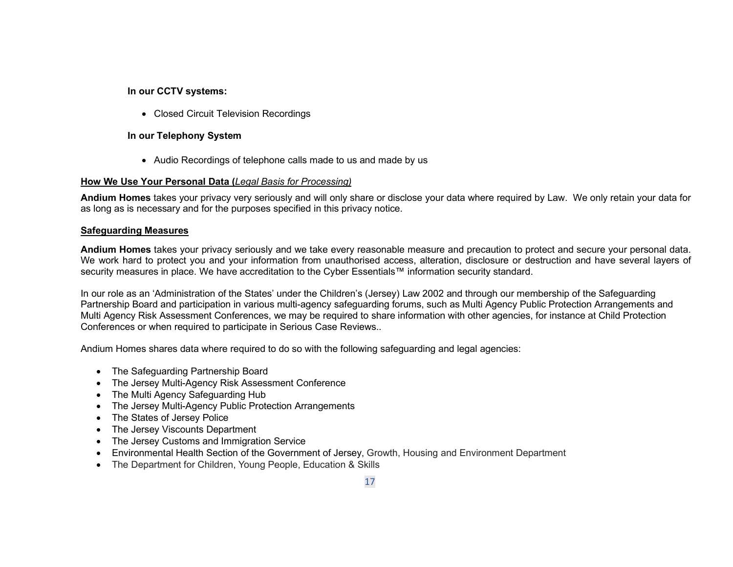# In our CCTV systems:

• Closed Circuit Television Recordings

# In our Telephony System

• Audio Recordings of telephone calls made to us and made by us

# How We Use Your Personal Data (Legal Basis for Processing)

Andium Homes takes your privacy very seriously and will only share or disclose your data where required by Law. We only retain your data for as long as is necessary and for the purposes specified in this privacy notice.

# Safeguarding Measures

Andium Homes takes your privacy seriously and we take every reasonable measure and precaution to protect and secure your personal data. We work hard to protect you and your information from unauthorised access, alteration, disclosure or destruction and have several layers of security measures in place. We have accreditation to the Cyber Essentials™ information security standard.

In our role as an 'Administration of the States' under the Children's (Jersey) Law 2002 and through our membership of the Safeguarding Partnership Board and participation in various multi-agency safeguarding forums, such as Multi Agency Public Protection Arrangements and Multi Agency Risk Assessment Conferences, we may be required to share information with other agencies, for instance at Child Protection Conferences or when required to participate in Serious Case Reviews..

Andium Homes shares data where required to do so with the following safeguarding and legal agencies:

- The Safeguarding Partnership Board
- The Jersey Multi-Agency Risk Assessment Conference
- The Multi Agency Safeguarding Hub
- The Jersey Multi-Agency Public Protection Arrangements
- The States of Jersey Police
- The Jersey Viscounts Department
- The Jersey Customs and Immigration Service
- Environmental Health Section of the Government of Jersey, Growth, Housing and Environment Department
- The Department for Children, Young People, Education & Skills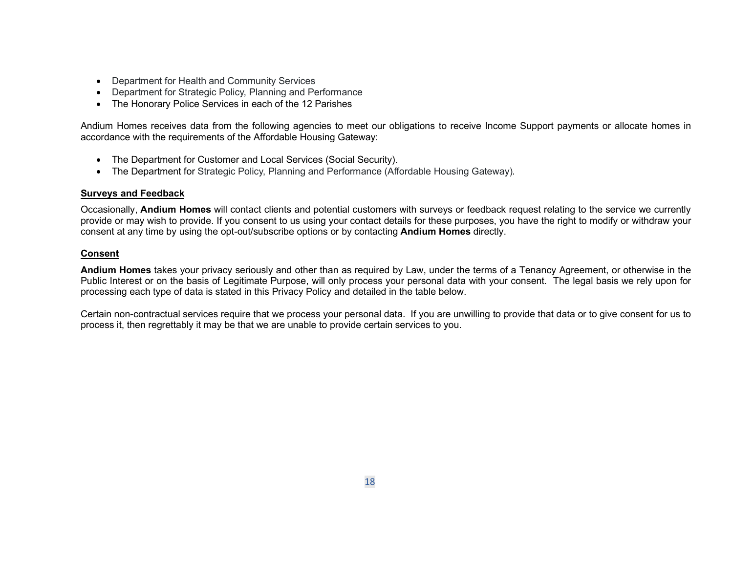- Department for Health and Community Services
- Department for Strategic Policy, Planning and Performance
- The Honorary Police Services in each of the 12 Parishes

Andium Homes receives data from the following agencies to meet our obligations to receive Income Support payments or allocate homes in accordance with the requirements of the Affordable Housing Gateway:

- The Department for Customer and Local Services (Social Security).
- The Department for Strategic Policy, Planning and Performance (Affordable Housing Gateway).

#### Surveys and Feedback

Occasionally, Andium Homes will contact clients and potential customers with surveys or feedback request relating to the service we currently provide or may wish to provide. If you consent to us using your contact details for these purposes, you have the right to modify or withdraw your consent at any time by using the opt-out/subscribe options or by contacting Andium Homes directly.

### Consent

Andium Homes takes your privacy seriously and other than as required by Law, under the terms of a Tenancy Agreement, or otherwise in the Public Interest or on the basis of Legitimate Purpose, will only process your personal data with your consent. The legal basis we rely upon for processing each type of data is stated in this Privacy Policy and detailed in the table below.

Certain non-contractual services require that we process your personal data. If you are unwilling to provide that data or to give consent for us to process it, then regrettably it may be that we are unable to provide certain services to you.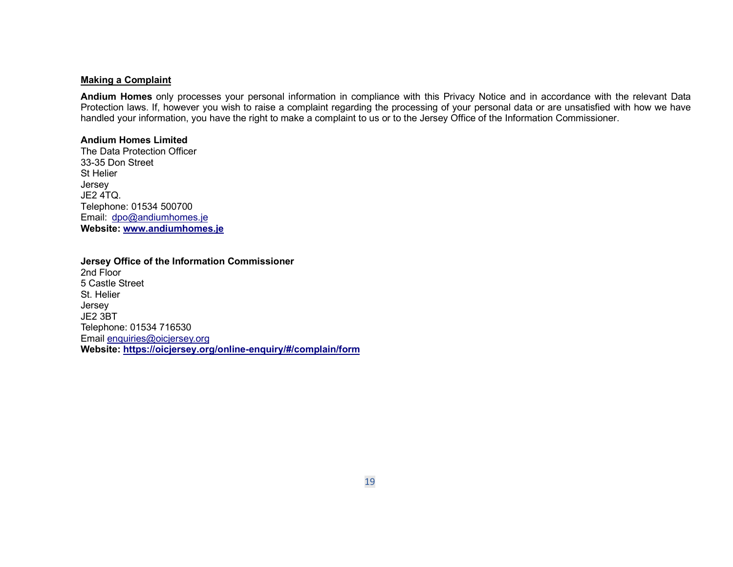#### Making a Complaint

Andium Homes only processes your personal information in compliance with this Privacy Notice and in accordance with the relevant Data Protection laws. If, however you wish to raise a complaint regarding the processing of your personal data or are unsatisfied with how we have handled your information, you have the right to make a complaint to us or to the Jersey Office of the Information Commissioner.

#### Andium Homes Limited

The Data Protection Officer 33-35 Don Street St Helier Jersey JE2 4TQ. Telephone: 01534 500700 Email: dpo@andiumhomes.je Website: www.andiumhomes.je

#### Jersey Office of the Information Commissioner

2nd Floor 5 Castle Street St. Helier Jersey JE2 3BT Telephone: 01534 716530 Email enquiries@oicjersey.org Website: https://oicjersey.org/online-enquiry/#/complain/form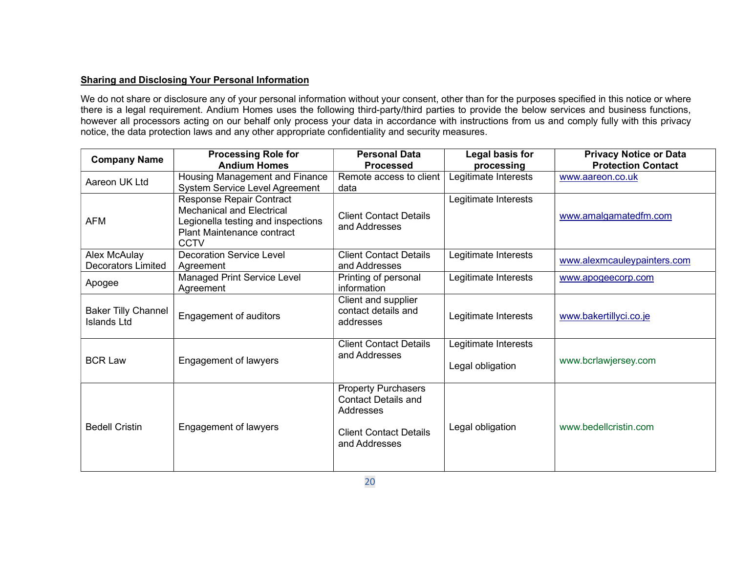# Sharing and Disclosing Your Personal Information

We do not share or disclosure any of your personal information without your consent, other than for the purposes specified in this notice or where there is a legal requirement. Andium Homes uses the following third-party/third parties to provide the below services and business functions, however all processors acting on our behalf only process your data in accordance with instructions from us and comply fully with this privacy notice, the data protection laws and any other appropriate confidentiality and security measures.

| <b>Company Name</b>                              | <b>Processing Role for</b><br><b>Andium Homes</b>                                                                                                      | <b>Personal Data</b><br><b>Processed</b>                                                                                | Legal basis for<br>processing            | <b>Privacy Notice or Data</b><br><b>Protection Contact</b> |
|--------------------------------------------------|--------------------------------------------------------------------------------------------------------------------------------------------------------|-------------------------------------------------------------------------------------------------------------------------|------------------------------------------|------------------------------------------------------------|
| Aareon UK Ltd                                    | Housing Management and Finance<br><b>System Service Level Agreement</b>                                                                                | Remote access to client<br>data                                                                                         | Legitimate Interests                     | www.aareon.co.uk                                           |
| <b>AFM</b>                                       | Response Repair Contract<br><b>Mechanical and Electrical</b><br>Legionella testing and inspections<br><b>Plant Maintenance contract</b><br><b>CCTV</b> | <b>Client Contact Details</b><br>and Addresses                                                                          | Legitimate Interests                     | www.amalgamatedfm.com                                      |
| Alex McAulay<br>Decorators Limited               | <b>Decoration Service Level</b><br>Agreement                                                                                                           | <b>Client Contact Details</b><br>and Addresses                                                                          | Legitimate Interests                     | www.alexmcauleypainters.com                                |
| Apogee                                           | <b>Managed Print Service Level</b><br>Agreement                                                                                                        | Printing of personal<br>information                                                                                     | Legitimate Interests                     | www.apogeecorp.com                                         |
| <b>Baker Tilly Channel</b><br><b>Islands Ltd</b> | Engagement of auditors                                                                                                                                 | Client and supplier<br>contact details and<br>addresses                                                                 | Legitimate Interests                     | www.bakertillyci.co.je                                     |
| <b>BCR Law</b>                                   | Engagement of lawyers                                                                                                                                  | <b>Client Contact Details</b><br>and Addresses                                                                          | Legitimate Interests<br>Legal obligation | www.bcrlawjersey.com                                       |
| <b>Bedell Cristin</b>                            | Engagement of lawyers                                                                                                                                  | <b>Property Purchasers</b><br><b>Contact Details and</b><br>Addresses<br><b>Client Contact Details</b><br>and Addresses | Legal obligation                         | www.bedellcristin.com                                      |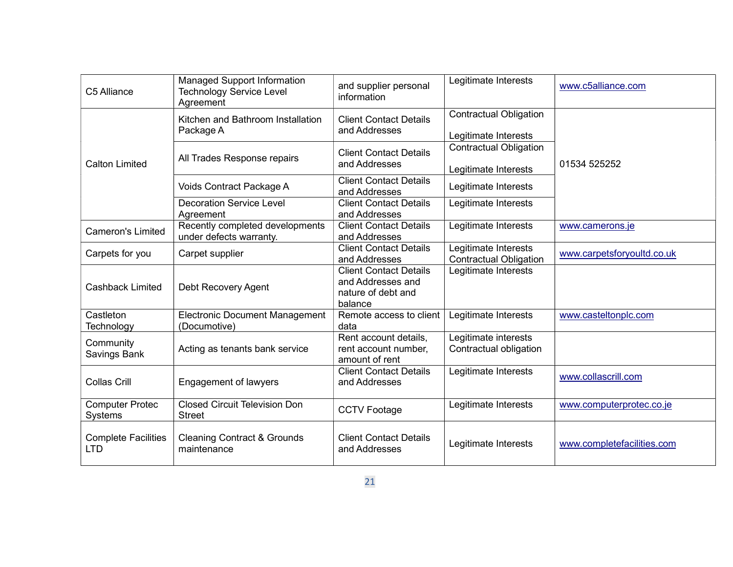| C5 Alliance                              | <b>Managed Support Information</b><br><b>Technology Service Level</b><br>Agreement | and supplier personal<br>information                                                | Legitimate Interests                                  | www.c5alliance.com         |
|------------------------------------------|------------------------------------------------------------------------------------|-------------------------------------------------------------------------------------|-------------------------------------------------------|----------------------------|
|                                          | Kitchen and Bathroom Installation<br>Package A                                     | <b>Client Contact Details</b><br>and Addresses                                      | <b>Contractual Obligation</b>                         |                            |
|                                          |                                                                                    |                                                                                     | Legitimate Interests                                  |                            |
| <b>Calton Limited</b>                    | All Trades Response repairs                                                        | <b>Client Contact Details</b><br>and Addresses                                      | <b>Contractual Obligation</b><br>Legitimate Interests | 01534 525252               |
|                                          | Voids Contract Package A                                                           | <b>Client Contact Details</b><br>and Addresses                                      | Legitimate Interests                                  |                            |
|                                          | <b>Decoration Service Level</b><br>Agreement                                       | <b>Client Contact Details</b><br>and Addresses                                      | Legitimate Interests                                  |                            |
| <b>Cameron's Limited</b>                 | Recently completed developments<br>under defects warranty.                         | <b>Client Contact Details</b><br>and Addresses                                      | Legitimate Interests                                  | www.camerons.je            |
| Carpets for you                          | Carpet supplier                                                                    | <b>Client Contact Details</b><br>and Addresses                                      | Legitimate Interests<br><b>Contractual Obligation</b> | www.carpetsforyoultd.co.uk |
| <b>Cashback Limited</b>                  | Debt Recovery Agent                                                                | <b>Client Contact Details</b><br>and Addresses and<br>nature of debt and<br>balance | Legitimate Interests                                  |                            |
| Castleton<br>Technology                  | <b>Electronic Document Management</b><br>(Documotive)                              | Remote access to client<br>data                                                     | Legitimate Interests                                  | www.casteltonplc.com       |
| Community<br>Savings Bank                | Acting as tenants bank service                                                     | Rent account details,<br>rent account number,<br>amount of rent                     | Legitimate interests<br>Contractual obligation        |                            |
| <b>Collas Crill</b>                      | <b>Engagement of lawyers</b>                                                       | <b>Client Contact Details</b><br>and Addresses                                      | Legitimate Interests                                  | www.collascrill.com        |
| <b>Computer Protec</b><br>Systems        | <b>Closed Circuit Television Don</b><br><b>Street</b>                              | <b>CCTV Footage</b>                                                                 | Legitimate Interests                                  | www.computerprotec.co.je   |
| <b>Complete Facilities</b><br><b>LTD</b> | <b>Cleaning Contract &amp; Grounds</b><br>maintenance                              | <b>Client Contact Details</b><br>and Addresses                                      | Legitimate Interests                                  | www.completefacilities.com |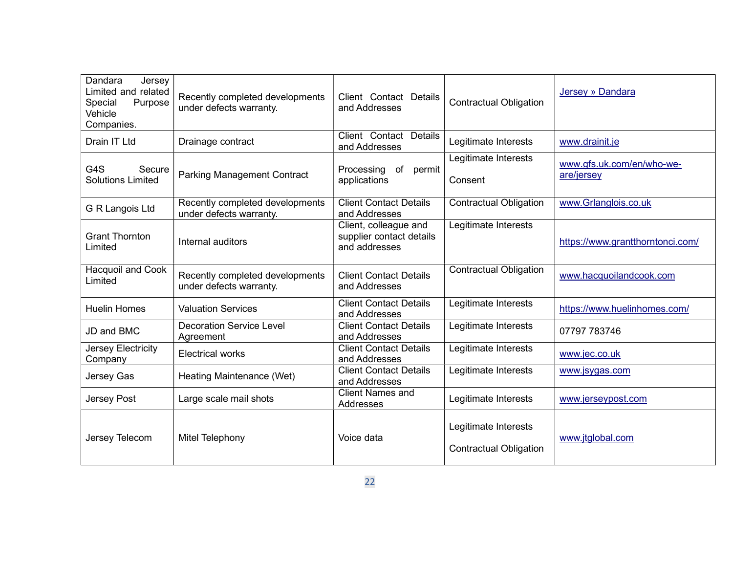| Dandara<br>Jersey<br>Limited and related<br>Purpose<br>Special<br>Vehicle<br>Companies. | Recently completed developments<br>under defects warranty. | Client Contact Details<br>and Addresses                            | <b>Contractual Obligation</b>                         | Jersey » Dandara                        |
|-----------------------------------------------------------------------------------------|------------------------------------------------------------|--------------------------------------------------------------------|-------------------------------------------------------|-----------------------------------------|
| Drain IT Ltd                                                                            | Drainage contract                                          | Client Contact Details<br>and Addresses                            | Legitimate Interests                                  | www.drainit.je                          |
| G4S<br>Secure<br><b>Solutions Limited</b>                                               | <b>Parking Management Contract</b>                         | Processing<br>of<br>permit<br>applications                         | Legitimate Interests<br>Consent                       | www.gfs.uk.com/en/who-we-<br>are/jersey |
| G R Langois Ltd                                                                         | Recently completed developments<br>under defects warranty. | <b>Client Contact Details</b><br>and Addresses                     | <b>Contractual Obligation</b>                         | www.Grlanglois.co.uk                    |
| <b>Grant Thornton</b><br>Limited                                                        | Internal auditors                                          | Client, colleague and<br>supplier contact details<br>and addresses | Legitimate Interests                                  | https://www.grantthorntonci.com/        |
| Hacquoil and Cook<br>Limited                                                            | Recently completed developments<br>under defects warranty. | <b>Client Contact Details</b><br>and Addresses                     | <b>Contractual Obligation</b>                         | www.hacquoilandcook.com                 |
| <b>Huelin Homes</b>                                                                     | <b>Valuation Services</b>                                  | <b>Client Contact Details</b><br>and Addresses                     | Legitimate Interests                                  | https://www.huelinhomes.com/            |
| JD and BMC                                                                              | <b>Decoration Service Level</b><br>Agreement               | <b>Client Contact Details</b><br>and Addresses                     | Legitimate Interests                                  | 07797 783746                            |
| Jersey Electricity<br>Company                                                           | <b>Electrical works</b>                                    | <b>Client Contact Details</b><br>and Addresses                     | Legitimate Interests                                  | www.jec.co.uk                           |
| Jersey Gas                                                                              | Heating Maintenance (Wet)                                  | <b>Client Contact Details</b><br>and Addresses                     | Legitimate Interests                                  | www.jsygas.com                          |
| Jersey Post                                                                             | Large scale mail shots                                     | <b>Client Names and</b><br>Addresses                               | Legitimate Interests                                  | www.jerseypost.com                      |
| Jersey Telecom                                                                          | Mitel Telephony                                            | Voice data                                                         | Legitimate Interests<br><b>Contractual Obligation</b> | www.jtglobal.com                        |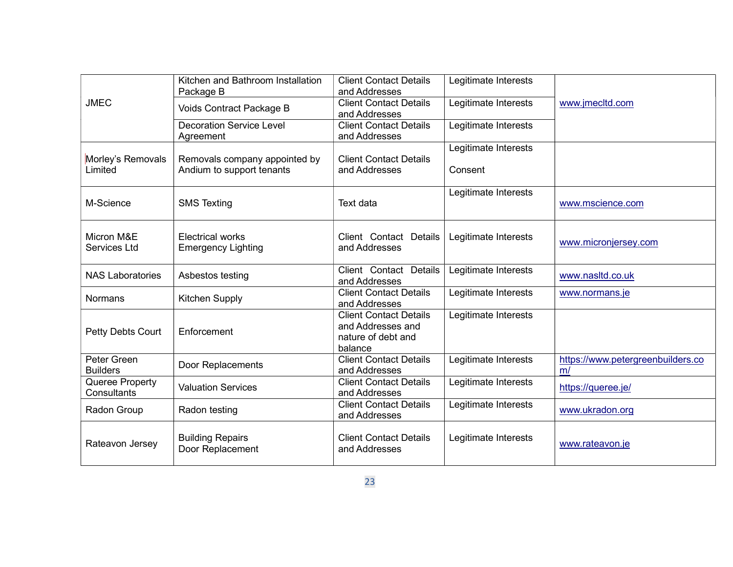|                                | Kitchen and Bathroom Installation<br>Package B             | <b>Client Contact Details</b><br>and Addresses                                      | Legitimate Interests            |                                         |
|--------------------------------|------------------------------------------------------------|-------------------------------------------------------------------------------------|---------------------------------|-----------------------------------------|
| <b>JMEC</b>                    | Voids Contract Package B                                   | <b>Client Contact Details</b><br>and Addresses                                      | Legitimate Interests            | www.jmecltd.com                         |
|                                | <b>Decoration Service Level</b><br>Agreement               | <b>Client Contact Details</b><br>and Addresses                                      | Legitimate Interests            |                                         |
| Morley's Removals<br>Limited   | Removals company appointed by<br>Andium to support tenants | <b>Client Contact Details</b><br>and Addresses                                      | Legitimate Interests<br>Consent |                                         |
| M-Science                      | <b>SMS Texting</b>                                         | Text data                                                                           | Legitimate Interests            | www.mscience.com                        |
| Micron M&E<br>Services Ltd     | <b>Electrical works</b><br><b>Emergency Lighting</b>       | Client Contact Details<br>and Addresses                                             | Legitimate Interests            | www.micronjersey.com                    |
| <b>NAS Laboratories</b>        | Asbestos testing                                           | Client Contact Details<br>and Addresses                                             | Legitimate Interests            | www.nasltd.co.uk                        |
| <b>Normans</b>                 | Kitchen Supply                                             | <b>Client Contact Details</b><br>and Addresses                                      | Legitimate Interests            | www.normans.je                          |
| Petty Debts Court              | Enforcement                                                | <b>Client Contact Details</b><br>and Addresses and<br>nature of debt and<br>balance | Legitimate Interests            |                                         |
| Peter Green<br><b>Builders</b> | Door Replacements                                          | <b>Client Contact Details</b><br>and Addresses                                      | Legitimate Interests            | https://www.petergreenbuilders.co<br>m/ |
| Queree Property<br>Consultants | <b>Valuation Services</b>                                  | <b>Client Contact Details</b><br>and Addresses                                      | Legitimate Interests            | https://queree.je/                      |
| Radon Group                    | Radon testing                                              | <b>Client Contact Details</b><br>and Addresses                                      | Legitimate Interests            | www.ukradon.org                         |
| Rateavon Jersey                | <b>Building Repairs</b><br>Door Replacement                | <b>Client Contact Details</b><br>and Addresses                                      | Legitimate Interests            | www.rateavon.je                         |